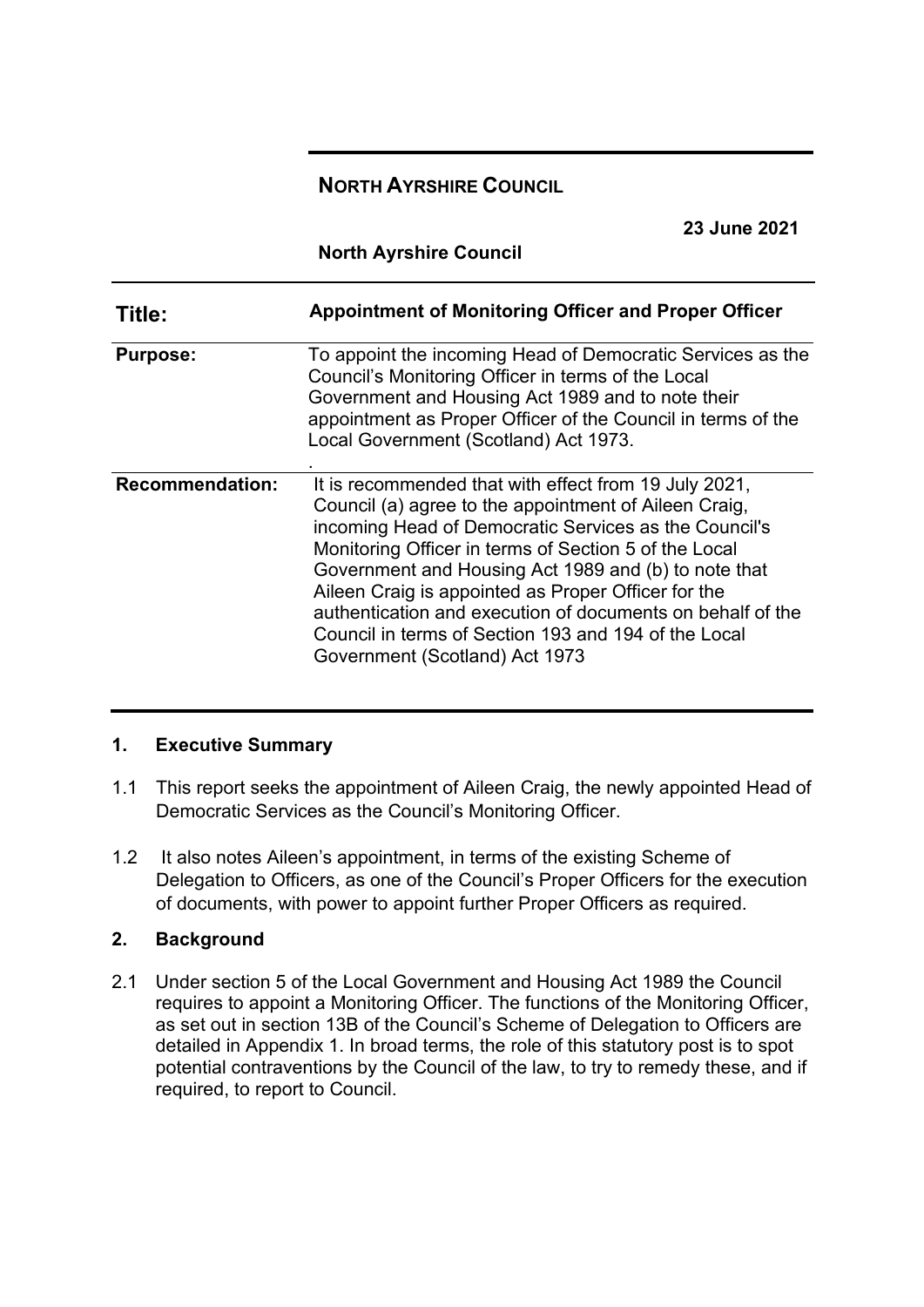# **NORTH AYRSHIRE COUNCIL**

**23 June 2021**

**North Ayrshire Council** 

| Title:                 | Appointment of Monitoring Officer and Proper Officer                                                                                                                                                                                                                                                                                                                                                                                                                                                    |
|------------------------|---------------------------------------------------------------------------------------------------------------------------------------------------------------------------------------------------------------------------------------------------------------------------------------------------------------------------------------------------------------------------------------------------------------------------------------------------------------------------------------------------------|
| <b>Purpose:</b>        | To appoint the incoming Head of Democratic Services as the<br>Council's Monitoring Officer in terms of the Local<br>Government and Housing Act 1989 and to note their<br>appointment as Proper Officer of the Council in terms of the<br>Local Government (Scotland) Act 1973.                                                                                                                                                                                                                          |
| <b>Recommendation:</b> | It is recommended that with effect from 19 July 2021,<br>Council (a) agree to the appointment of Aileen Craig,<br>incoming Head of Democratic Services as the Council's<br>Monitoring Officer in terms of Section 5 of the Local<br>Government and Housing Act 1989 and (b) to note that<br>Aileen Craig is appointed as Proper Officer for the<br>authentication and execution of documents on behalf of the<br>Council in terms of Section 193 and 194 of the Local<br>Government (Scotland) Act 1973 |

### **1. Executive Summary**

- 1.1 This report seeks the appointment of Aileen Craig, the newly appointed Head of Democratic Services as the Council's Monitoring Officer.
- 1.2 It also notes Aileen's appointment, in terms of the existing Scheme of Delegation to Officers, as one of the Council's Proper Officers for the execution of documents, with power to appoint further Proper Officers as required.

### **2. Background**

2.1 Under section 5 of the Local Government and Housing Act 1989 the Council requires to appoint a Monitoring Officer. The functions of the Monitoring Officer, as set out in section 13B of the Council's Scheme of Delegation to Officers are detailed in Appendix 1. In broad terms, the role of this statutory post is to spot potential contraventions by the Council of the law, to try to remedy these, and if required, to report to Council.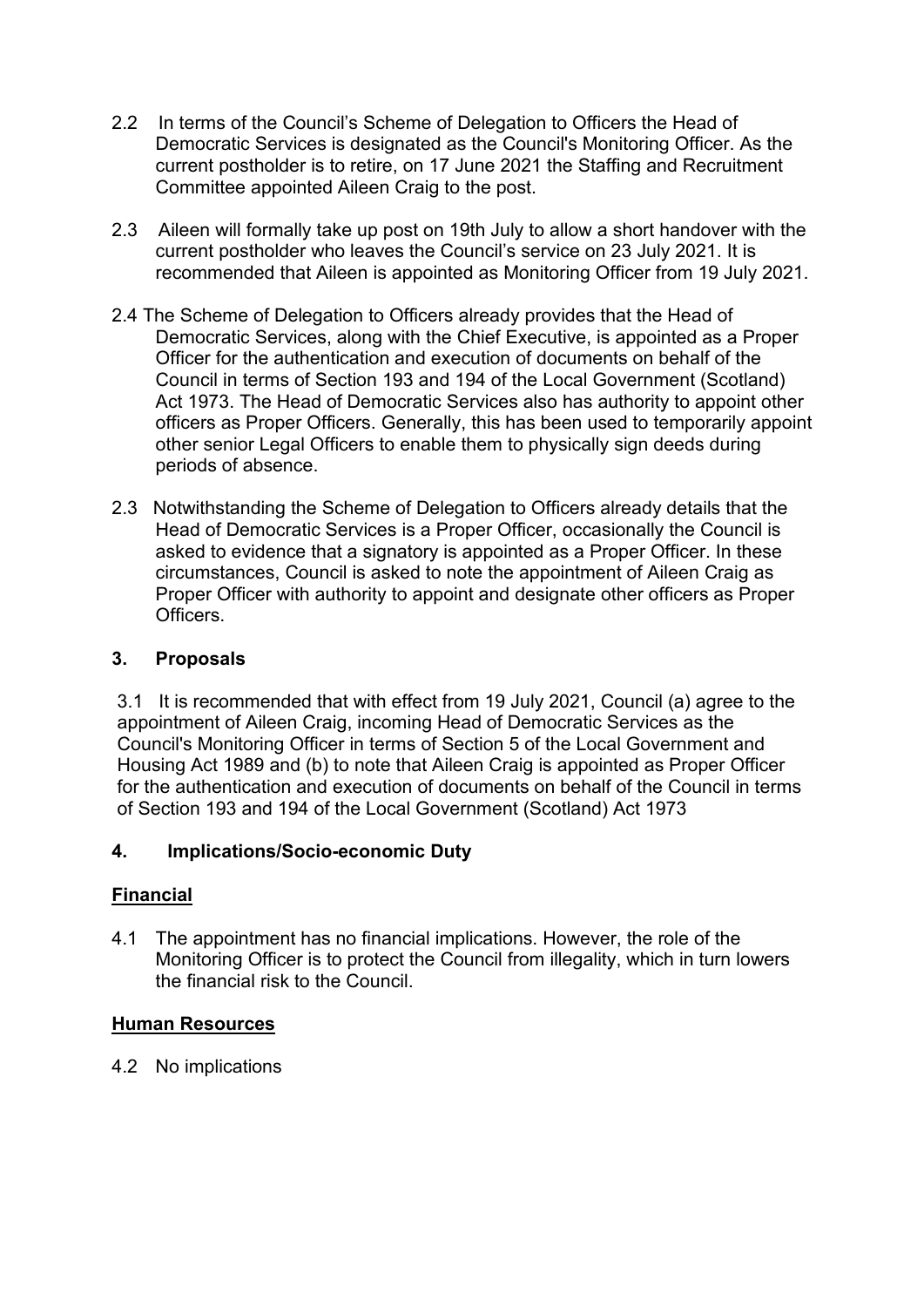- 2.2 In terms of the Council's Scheme of Delegation to Officers the Head of Democratic Services is designated as the Council's Monitoring Officer. As the current postholder is to retire, on 17 June 2021 the Staffing and Recruitment Committee appointed Aileen Craig to the post.
- 2.3 Aileen will formally take up post on 19th July to allow a short handover with the current postholder who leaves the Council's service on 23 July 2021. It is recommended that Aileen is appointed as Monitoring Officer from 19 July 2021.
- 2.4 The Scheme of Delegation to Officers already provides that the Head of Democratic Services, along with the Chief Executive, is appointed as a Proper Officer for the authentication and execution of documents on behalf of the Council in terms of Section 193 and 194 of the Local Government (Scotland) Act 1973. The Head of Democratic Services also has authority to appoint other officers as Proper Officers. Generally, this has been used to temporarily appoint other senior Legal Officers to enable them to physically sign deeds during periods of absence.
- 2.3 Notwithstanding the Scheme of Delegation to Officers already details that the Head of Democratic Services is a Proper Officer, occasionally the Council is asked to evidence that a signatory is appointed as a Proper Officer. In these circumstances, Council is asked to note the appointment of Aileen Craig as Proper Officer with authority to appoint and designate other officers as Proper **Officers**

### **3. Proposals**

3.1 It is recommended that with effect from 19 July 2021, Council (a) agree to the appointment of Aileen Craig, incoming Head of Democratic Services as the Council's Monitoring Officer in terms of Section 5 of the Local Government and Housing Act 1989 and (b) to note that Aileen Craig is appointed as Proper Officer for the authentication and execution of documents on behalf of the Council in terms of Section 193 and 194 of the Local Government (Scotland) Act 1973

### **4. Implications/Socio-economic Duty**

### **Financial**

4.1 The appointment has no financial implications. However, the role of the Monitoring Officer is to protect the Council from illegality, which in turn lowers the financial risk to the Council.

#### **Human Resources**

4.2 No implications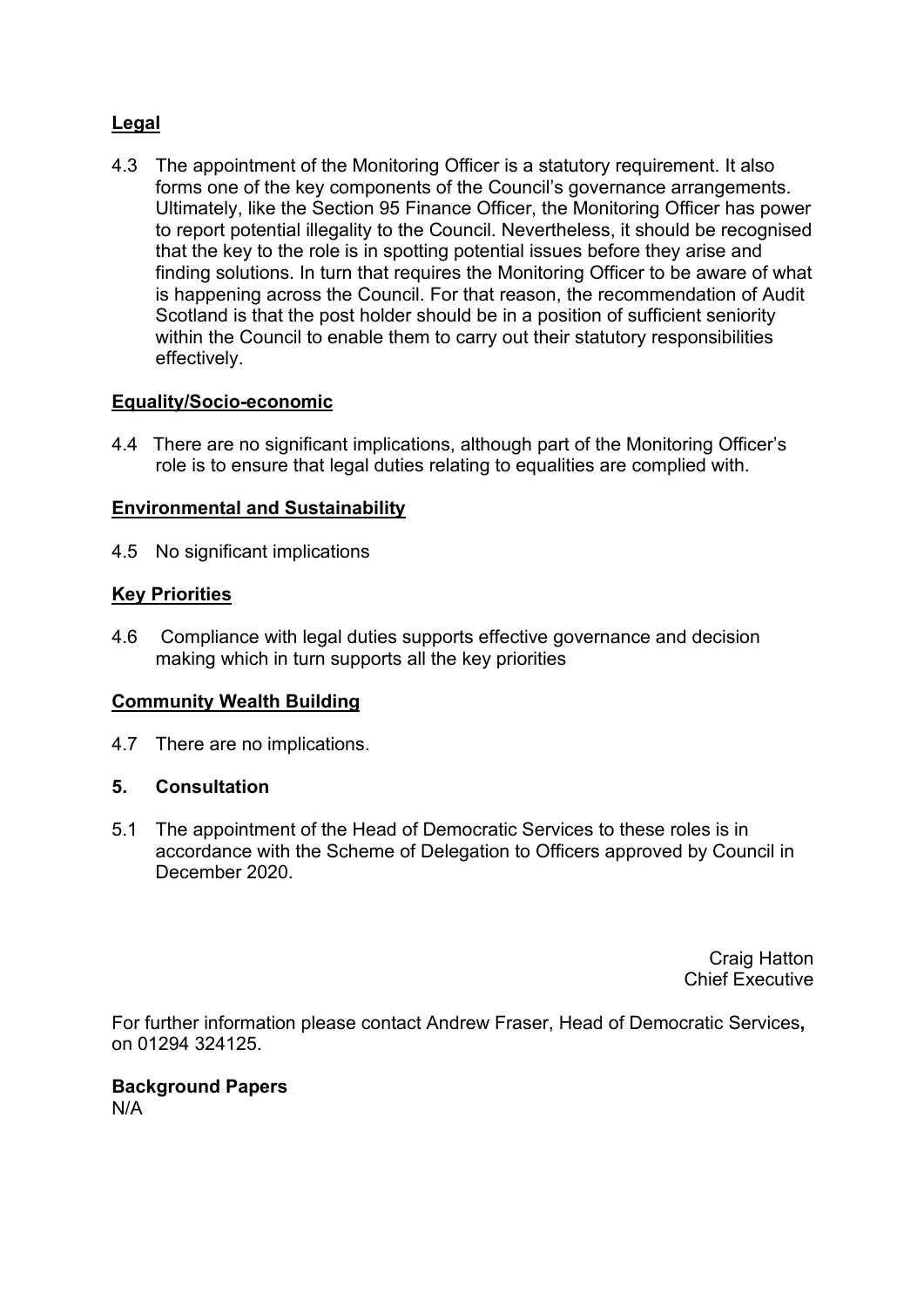## **Legal**

4.3 The appointment of the Monitoring Officer is a statutory requirement. It also forms one of the key components of the Council's governance arrangements. Ultimately, like the Section 95 Finance Officer, the Monitoring Officer has power to report potential illegality to the Council. Nevertheless, it should be recognised that the key to the role is in spotting potential issues before they arise and finding solutions. In turn that requires the Monitoring Officer to be aware of what is happening across the Council. For that reason, the recommendation of Audit Scotland is that the post holder should be in a position of sufficient seniority within the Council to enable them to carry out their statutory responsibilities effectively.

### **Equality/Socio-economic**

4.4 There are no significant implications, although part of the Monitoring Officer's role is to ensure that legal duties relating to equalities are complied with.

### **Environmental and Sustainability**

4.5 No significant implications

### **Key Priorities**

4.6 Compliance with legal duties supports effective governance and decision making which in turn supports all the key priorities

### **Community Wealth Building**

4.7 There are no implications.

### **5. Consultation**

5.1 The appointment of the Head of Democratic Services to these roles is in accordance with the Scheme of Delegation to Officers approved by Council in December 2020.

> Craig Hatton Chief Executive

For further information please contact Andrew Fraser, Head of Democratic Services**,** on 01294 324125.

# **Background Papers**

N/A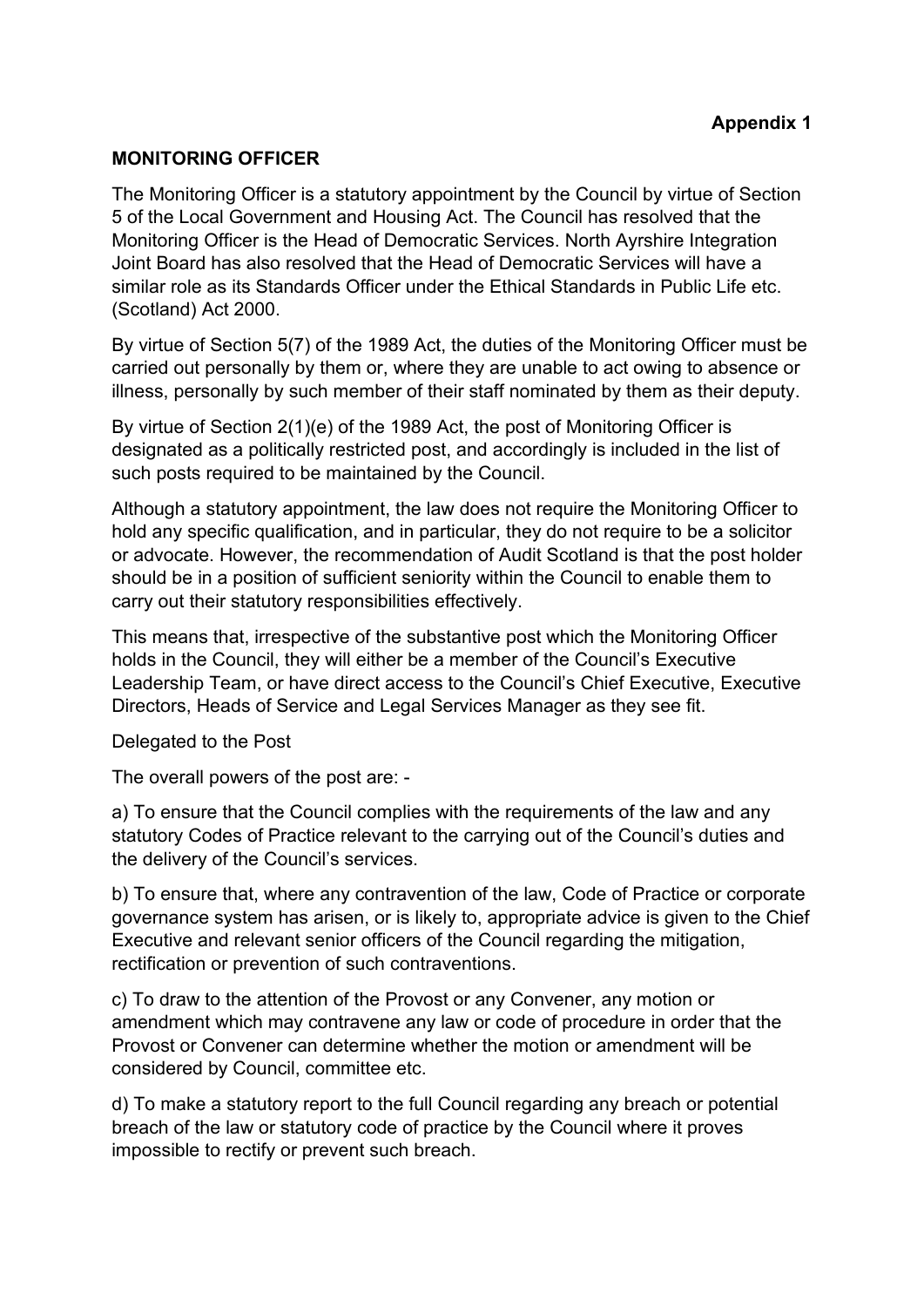#### **MONITORING OFFICER**

The Monitoring Officer is a statutory appointment by the Council by virtue of Section 5 of the Local Government and Housing Act. The Council has resolved that the Monitoring Officer is the Head of Democratic Services. North Ayrshire Integration Joint Board has also resolved that the Head of Democratic Services will have a similar role as its Standards Officer under the Ethical Standards in Public Life etc. (Scotland) Act 2000.

By virtue of Section 5(7) of the 1989 Act, the duties of the Monitoring Officer must be carried out personally by them or, where they are unable to act owing to absence or illness, personally by such member of their staff nominated by them as their deputy.

By virtue of Section 2(1)(e) of the 1989 Act, the post of Monitoring Officer is designated as a politically restricted post, and accordingly is included in the list of such posts required to be maintained by the Council.

Although a statutory appointment, the law does not require the Monitoring Officer to hold any specific qualification, and in particular, they do not require to be a solicitor or advocate. However, the recommendation of Audit Scotland is that the post holder should be in a position of sufficient seniority within the Council to enable them to carry out their statutory responsibilities effectively.

This means that, irrespective of the substantive post which the Monitoring Officer holds in the Council, they will either be a member of the Council's Executive Leadership Team, or have direct access to the Council's Chief Executive, Executive Directors, Heads of Service and Legal Services Manager as they see fit.

Delegated to the Post

The overall powers of the post are: -

a) To ensure that the Council complies with the requirements of the law and any statutory Codes of Practice relevant to the carrying out of the Council's duties and the delivery of the Council's services.

b) To ensure that, where any contravention of the law, Code of Practice or corporate governance system has arisen, or is likely to, appropriate advice is given to the Chief Executive and relevant senior officers of the Council regarding the mitigation, rectification or prevention of such contraventions.

c) To draw to the attention of the Provost or any Convener, any motion or amendment which may contravene any law or code of procedure in order that the Provost or Convener can determine whether the motion or amendment will be considered by Council, committee etc.

d) To make a statutory report to the full Council regarding any breach or potential breach of the law or statutory code of practice by the Council where it proves impossible to rectify or prevent such breach.